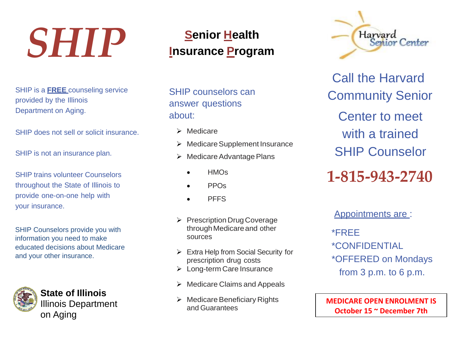## *SHIP*

SHIP is a **FREE** counseling service provided by the Illinois Department on Aging.

SHIP does not sell or solicit insurance.

SHIP is not an insurance plan.

SHIP trains volunteer Counselors throughout the State of Illinois to provide one-on-one help with your insurance.

SHIP Counselors provide you with information you need to make educated decisions about Medicare and your other insurance.



**State of Illinois**  Illinois Department on Aging

## **Senior Health Insurance Program**

SHIP counselors can answer questions about:

- $\triangleright$  Medicare
- $\triangleright$  Medicare Supplement Insurance
- $\triangleright$  Medicare Advantage Plans
	- **HMOs**
	- PPOs
	- **PFFS**
- Prescription Drug Coverage throughMedicareand other sources
- $\triangleright$  Extra Help from Social Security for prescription drug costs
- > Long-term Care Insurance
- $\triangleright$  Medicare Claims and Appeals
- $\triangleright$  Medicare Beneficiary Rights and Guarantees



Call the Harvard Community Senior Center to meet with a trained SHIP Counselor **1-815-943-2740**

Appointments are : \*FREE \*CONFIDENTIAL \*OFFERED on Mondays from 3 p.m. to 6 p.m.

**MEDICARE OPEN ENROLMENT IS October 15 ~ December 7th**